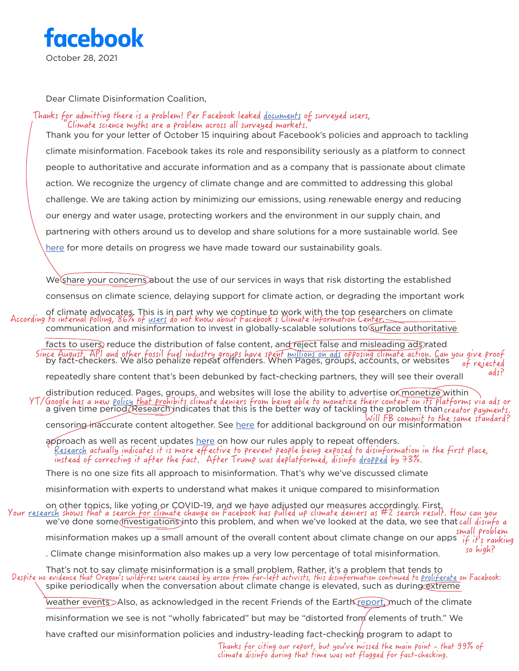

Dear Climate Disinformation Coalition,

## Thanks for admitting there is a problem! Per Facebook leaked <u>documents</u> of surveyed users, Climate science myths are a problem across all surveyed markets.

Thank you for your letter of October 15 inquiring about Facebook's policies and approach to tackling climate misinformation. Facebook takes its role and responsibility seriously as a platform to connect people to authoritative and accurate information and as a company that is passionate about climate action. We recognize the urgency of climate change and are committed to addressing this global challenge. We are taking action by minimizing our emissions, using renewable energy and reducing our energy and water usage, protecting workers and the environment in our supply chain, and partnering with others around us to develop and share solutions for a more sustainable world. See [here](https://about.fb.com/news/2021/06/2020-sustainability-report-how-were-helping-fight-climate-change/) for more details on progress we have made toward our sustainability goals.

We share your concerns about the use of our services in ways that risk distorting the established

consensus on climate science, delaying support for climate action, or degrading the important work

of climate advocates. This is in part why we continue to work with the top researchers on climate<br>According to internal polling, 86% of <u>users</u> do not know about Facebook's Climate Information Center. communication and misinformation to invest in globally-scalable solutions to surface authoritative

facts to users, reduce the distribution of false content, and reject false and misleading ads rated Since August, API and other fossil fuel industry groups have spent [millions on ads](https://influencemap.org/EN/report/A-Critical-Moment-in-Global-Climate-Policy-and-Politics-58fa7f1c1195ae25a328bc5d04fa1ac4) opposing climate action. Can you give proof<br>by fact-checkers. We also penalize repeat offenders. When Pages, groups, accounts, or websites of rejected ads?

repeatedly share content that's been debunked by fact-checking partners, they will see their overall

distribution reduced. Pages, groups, and websites will lose the ability to advertise or monetize within a given time period. Research indicates that this is the better way of tackling the problem than  $_{\rm 0}$ Censoring inaccurate content altogether. See [here](https://transparency.fb.com/features/approach-to-misinformation/) for additional background on our misinformation YT/Google has a new [policy](https://www.axios.com/google-youtube-climate-change-734f2b05-40e2-4e05-9100-39de589b3b0a.html) that prohibits climate deniers from being able to monetize their content on its platforms via ads or creator payments.

approach as well as recent updates [here](https://transparency.fb.com/enforcement/taking-action/penalties-for-sharing-fact-checked-content/) on how our rules apply to repeat offenders.

[Research](https://www.mediamatters.org/facebook/facebook-keeps-touting-its-labels-data-suggests-labels-actually-amplified-trumps) actually indicates it is more effective to prevent people being exposed to disinformation in the first place, instead of correcting it after the fact. After Trump was deplatformed, disinfo [dropped](https://www.washingtonpost.com/technology/2021/01/16/misinformation-trump-twitter/) by 73%.

There is no one size fits all approach to misinformation. That's why we've discussed climate

misinformation with experts to understand what makes it unique compared to misinformation

on other topics, like voting or COVID-19, and we have adjusted our measures accordingly. First,<br>Your <u>research</u> shows that a search <u>for cl</u>imate change on Facebook has pulled up climate deniers as #2 search result. How ca we've done some *investigations* into this problem, and when we've looked at the data, we see that call disinfo a misinformation makes up a small amount of the overall content about climate change on our apps  $\overline{if}$  if's ranking . Climate change misinformation also makes up a very low percentage of total misinformation. That's not to say climate misinformation is a small problem. Rather, it's a problem that tends to small problem so high?

spike periodically when the conversation about climate change is elevated, such as during extreme Despite no evidence that Oregon's wildfires were caused by arson from far-left activists, this disinformation continued to [proliferate](https://www.nytimes.com/2020/09/10/us/antifa-wildfires.html) on Facebook:

weather events Also, as acknowledged in the recent Friends of the Earth [report,](http://foe.org/wp-content/uploads/2021/08/Texas_Disinfo_Report_final_v4.pdf) much of the climate

misinformation we see is not "wholly fabricated" but may be "distorted from elements of truth." We

have crafted our misinformation policies and industry-leading fact-checking program to adapt to

Thanks for citing our report, but you've missed the main point - that 99% of climate disinfo during that time was not flagged for fact-checking.